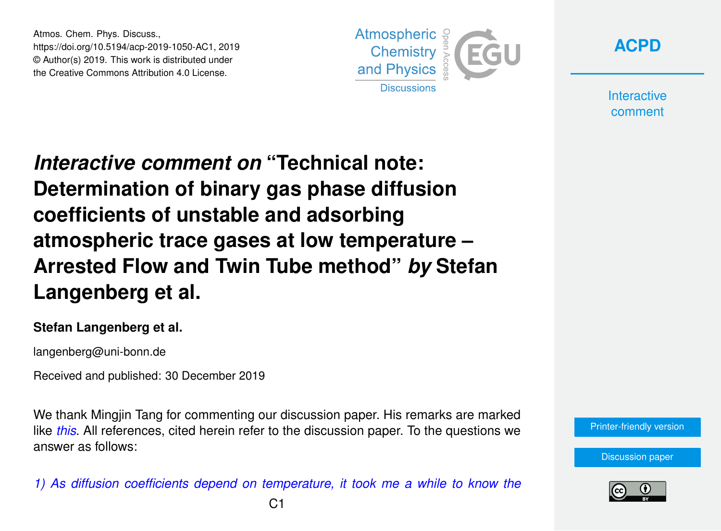Atmos. Chem. Phys. Discuss., https://doi.org/10.5194/acp-2019-1050-AC1, 2019 © Author(s) 2019. This work is distributed under the Creative Commons Attribution 4.0 License.





**Interactive** comment

*Interactive comment on* **"Technical note: Determination of binary gas phase diffusion coefficients of unstable and adsorbing atmospheric trace gases at low temperature – Arrested Flow and Twin Tube method"** *by* **Stefan Langenberg et al.**

## **Stefan Langenberg et al.**

langenberg@uni-bonn.de

Received and published: 30 December 2019

We thank Mingjin Tang for commenting our discussion paper. His remarks are marked like *this*. All references, cited herein refer to the discussion paper. To the questions we answer as follows:

*1) As diffusion coefficients depend on temperature, it took me a while to know the*



[Discussion paper](https://www.atmos-chem-phys-discuss.net/acp-2019-1050)